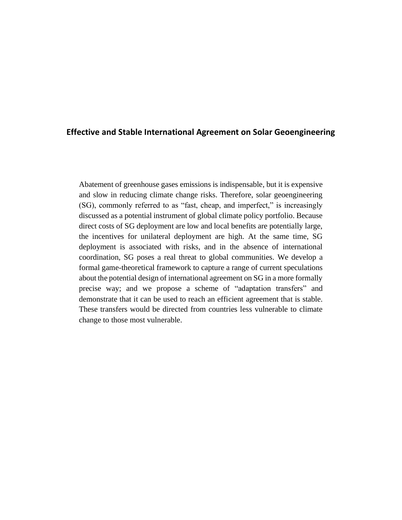#### **Effective and Stable International Agreement on Solar Geoengineering**

Abatement of greenhouse gases emissions is indispensable, but it is expensive and slow in reducing climate change risks. Therefore, solar geoengineering (SG), commonly referred to as "fast, cheap, and imperfect," is increasingly discussed as a potential instrument of global climate policy portfolio. Because direct costs of SG deployment are low and local benefits are potentially large, the incentives for unilateral deployment are high. At the same time, SG deployment is associated with risks, and in the absence of international coordination, SG poses a real threat to global communities. We develop a formal game-theoretical framework to capture a range of current speculations about the potential design of international agreement on SG in a more formally precise way; and we propose a scheme of "adaptation transfers" and demonstrate that it can be used to reach an efficient agreement that is stable. These transfers would be directed from countries less vulnerable to climate change to those most vulnerable.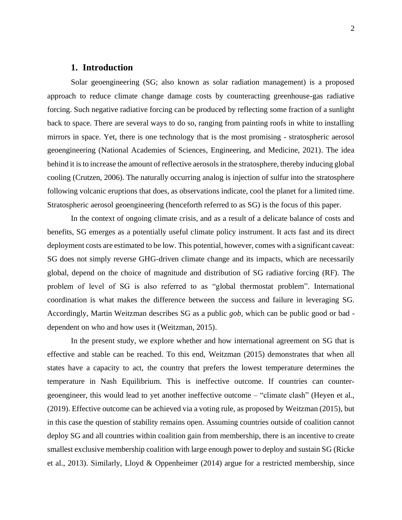#### **1. Introduction**

Solar geoengineering (SG; also known as solar radiation management) is a proposed approach to reduce climate change damage costs by counteracting greenhouse-gas radiative forcing. Such negative radiative forcing can be produced by reflecting some fraction of a sunlight back to space. There are several ways to do so, ranging from painting roofs in white to installing mirrors in space. Yet, there is one technology that is the most promising - stratospheric aerosol geoengineering (National Academies of Sciences, Engineering, and Medicine, 2021). The idea behind it is to increase the amount of reflective aerosols in the stratosphere, thereby inducing global cooling (Crutzen, 2006). The naturally occurring analog is injection of sulfur into the stratosphere following volcanic eruptions that does, as observations indicate, cool the planet for a limited time. Stratospheric aerosol geoengineering (henceforth referred to as SG) is the focus of this paper.

In the context of ongoing climate crisis, and as a result of a delicate balance of costs and benefits, SG emerges as a potentially useful climate policy instrument. It acts fast and its direct deployment costs are estimated to be low. This potential, however, comes with a significant caveat: SG does not simply reverse GHG-driven climate change and its impacts, which are necessarily global, depend on the choice of magnitude and distribution of SG radiative forcing (RF). The problem of level of SG is also referred to as "global thermostat problem". International coordination is what makes the difference between the success and failure in leveraging SG. Accordingly, Martin Weitzman describes SG as a public *gob,* which can be public good or bad dependent on who and how uses it (Weitzman, 2015).

In the present study, we explore whether and how international agreement on SG that is effective and stable can be reached. To this end, Weitzman (2015) demonstrates that when all states have a capacity to act, the country that prefers the lowest temperature determines the temperature in Nash Equilibrium. This is ineffective outcome. If countries can countergeoengineer, this would lead to yet another ineffective outcome – "climate clash" (Heyen et al., (2019). Effective outcome can be achieved via a voting rule, as proposed by Weitzman (2015), but in this case the question of stability remains open. Assuming countries outside of coalition cannot deploy SG and all countries within coalition gain from membership, there is an incentive to create smallest exclusive membership coalition with large enough power to deploy and sustain SG (Ricke et al., 2013). Similarly, Lloyd & Oppenheimer (2014) argue for a restricted membership, since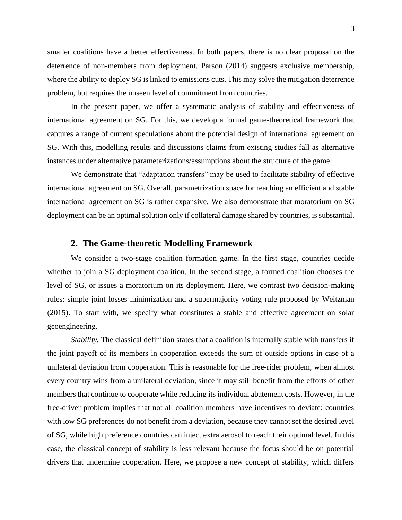smaller coalitions have a better effectiveness. In both papers, there is no clear proposal on the deterrence of non-members from deployment. Parson (2014) suggests exclusive membership, where the ability to deploy SG is linked to emissions cuts. This may solve the mitigation deterrence problem, but requires the unseen level of commitment from countries.

In the present paper, we offer a systematic analysis of stability and effectiveness of international agreement on SG. For this, we develop a formal game-theoretical framework that captures a range of current speculations about the potential design of international agreement on SG. With this, modelling results and discussions claims from existing studies fall as alternative instances under alternative parameterizations/assumptions about the structure of the game.

We demonstrate that "adaptation transfers" may be used to facilitate stability of effective international agreement on SG. Overall, parametrization space for reaching an efficient and stable international agreement on SG is rather expansive. We also demonstrate that moratorium on SG deployment can be an optimal solution only if collateral damage shared by countries, is substantial.

#### **2. The Game-theoretic Modelling Framework**

We consider a two-stage coalition formation game. In the first stage, countries decide whether to join a SG deployment coalition. In the second stage, a formed coalition chooses the level of SG, or issues a moratorium on its deployment. Here, we contrast two decision-making rules: simple joint losses minimization and a supermajority voting rule proposed by Weitzman (2015). To start with, we specify what constitutes a stable and effective agreement on solar geoengineering.

*Stability.* The classical definition states that a coalition is internally stable with transfers if the joint payoff of its members in cooperation exceeds the sum of outside options in case of a unilateral deviation from cooperation. This is reasonable for the free-rider problem, when almost every country wins from a unilateral deviation, since it may still benefit from the efforts of other members that continue to cooperate while reducing its individual abatement costs. However, in the free-driver problem implies that not all coalition members have incentives to deviate: countries with low SG preferences do not benefit from a deviation, because they cannot set the desired level of SG, while high preference countries can inject extra aerosol to reach their optimal level. In this case, the classical concept of stability is less relevant because the focus should be on potential drivers that undermine cooperation. Here, we propose a new concept of stability, which differs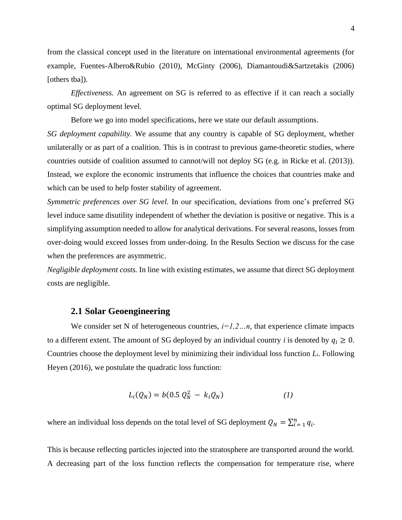from the classical concept used in the literature on international environmental agreements (for example, Fuentes-Albero&Rubio (2010), McGinty (2006), Diamantoudi&Sartzetakis (2006) [others tba]).

*Effectiveness.* An agreement on SG is referred to as effective if it can reach a socially optimal SG deployment level*.*

Before we go into model specifications, here we state our default assumptions.

*SG deployment capability.* We assume that any country is capable of SG deployment, whether unilaterally or as part of a coalition. This is in contrast to previous game-theoretic studies, where countries outside of coalition assumed to cannot/will not deploy SG (e.g. in Ricke et al. (2013)). Instead, we explore the economic instruments that influence the choices that countries make and which can be used to help foster stability of agreement.

*Symmetric preferences over SG level.* In our specification, deviations from one's preferred SG level induce same disutility independent of whether the deviation is positive or negative. This is a simplifying assumption needed to allow for analytical derivations. For several reasons, losses from over-doing would exceed losses from under-doing. In the Results Section we discuss for the case when the preferences are asymmetric.

*Negligible deployment costs.* In line with existing estimates, we assume that direct SG deployment costs are negligible.

### **2.1 Solar Geoengineering**

We consider set N of heterogeneous countries,  $i=1,2...n$ , that experience climate impacts to a different extent. The amount of SG deployed by an individual country *i* is denoted by  $q_i \geq 0$ . Countries choose the deployment level by minimizing their individual loss function *Li*. Following Heyen (2016), we postulate the quadratic loss function:

$$
L_i(Q_N) = b(0.5 \; Q_N^2 \; - \; k_i Q_N) \tag{1}
$$

where an individual loss depends on the total level of SG deployment  $Q_N = \sum_{i=1}^n q_i$ .

This is because reflecting particles injected into the stratosphere are transported around the world. A decreasing part of the loss function reflects the compensation for temperature rise, where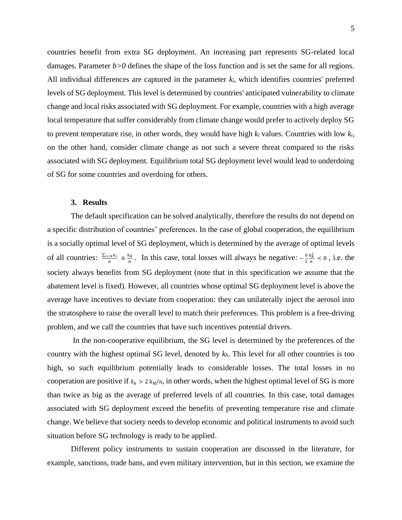countries benefit from extra SG deployment. An increasing part represents SG-related local damages. Parameter *b>0* defines the shape of the loss function and is set the same for all regions. All individual differences are captured in the parameter *ki*, which identifies countries' preferred levels of SG deployment. This level is determined by countries' anticipated vulnerability to climate change and local risks associated with SG deployment. For example, countries with a high average local temperature that suffer considerably from climate change would prefer to actively deploy SG to prevent temperature rise, in other words, they would have high  $k_i$  values. Countries with low  $k_i$ , on the other hand, consider climate change as not such a severe threat compared to the risks associated with SG deployment. Equilibrium total SG deployment level would lead to underdoing of SG for some countries and overdoing for others.

#### **3. Results**

The default specification can be solved analytically, therefore the results do not depend on a specific distribution of countries' preferences. In the case of global cooperation, the equilibrium is a socially optimal level of SG deployment, which is determined by the average of optimal levels of all countries:  $\frac{\sum_{i \in N} k_i}{n}$  $\frac{\sum_{i}N_k}{n} \equiv \frac{k_N}{n}$  $\frac{k_N}{n}$ . In this case, total losses will always be negative:  $-\frac{b}{2}$ 2  $k_N^2$  $\frac{k_N^2}{n}$  < 0, i.e. the society always benefits from SG deployment (note that in this specification we assume that the abatement level is fixed). However, all countries whose optimal SG deployment level is above the average have incentives to deviate from cooperation: they can unilaterally inject the aerosol into the stratosphere to raise the overall level to match their preferences. This problem is a free-driving problem, and we call the countries that have such incentives potential drivers.

In the non-cooperative equilibrium, the SG level is determined by the preferences of the country with the highest optimal SG level, denoted by *kh*. This level for all other countries is too high, so such equilibrium potentially leads to considerable losses. The total losses in no cooperation are positive if  $k_h > 2 k_N/n$ , in other words, when the highest optimal level of SG is more than twice as big as the average of preferred levels of all countries. In this case, total damages associated with SG deployment exceed the benefits of preventing temperature rise and climate change. We believe that society needs to develop economic and political instruments to avoid such situation before SG technology is ready to be applied.

Different policy instruments to sustain cooperation are discussed in the literature, for example, sanctions, trade bans, and even military intervention, but in this section, we examine the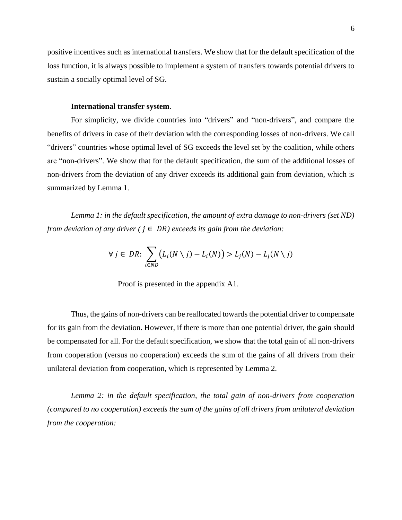positive incentives such as international transfers. We show that for the default specification of the loss function, it is always possible to implement a system of transfers towards potential drivers to sustain a socially optimal level of SG.

#### **International transfer system**.

For simplicity, we divide countries into "drivers" and "non-drivers", and compare the benefits of drivers in case of their deviation with the corresponding losses of non-drivers. We call "drivers" countries whose optimal level of SG exceeds the level set by the coalition, while others are "non-drivers". We show that for the default specification, the sum of the additional losses of non-drivers from the deviation of any driver exceeds its additional gain from deviation, which is summarized by Lemma 1.

*Lemma 1: in the default specification, the amount of extra damage to non-drivers (set ND) from deviation of any driver*  $(i \in DR)$  *exceeds its gain from the deviation:* 

$$
\forall j \in DR \colon \sum_{i \in ND} \bigl(L_i(N \setminus j) - L_i(N)\bigr) > L_j(N) - L_j(N \setminus j)
$$

Proof is presented in the appendix A1.

Thus, the gains of non-drivers can be reallocated towards the potential driver to compensate for its gain from the deviation. However, if there is more than one potential driver, the gain should be compensated for all. For the default specification, we show that the total gain of all non-drivers from cooperation (versus no cooperation) exceeds the sum of the gains of all drivers from their unilateral deviation from cooperation, which is represented by Lemma 2.

*Lemma 2: in the default specification, the total gain of non-drivers from cooperation (compared to no cooperation) exceeds the sum of the gains of all drivers from unilateral deviation from the cooperation:*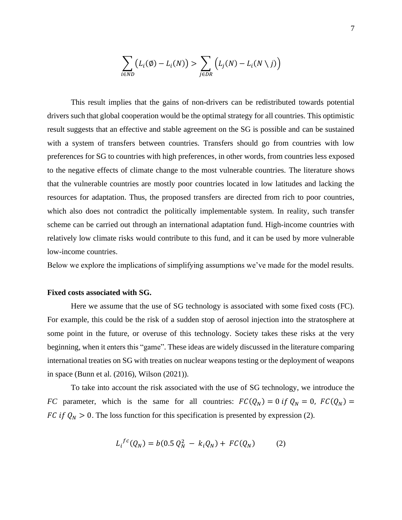$$
\sum_{i \in ND} \big( L_i(\emptyset) - L_i(N) \big) > \sum_{j \in DR} \big( L_j(N) - L_i(N \setminus j) \big)
$$

This result implies that the gains of non-drivers can be redistributed towards potential drivers such that global cooperation would be the optimal strategy for all countries. This optimistic result suggests that an effective and stable agreement on the SG is possible and can be sustained with a system of transfers between countries. Transfers should go from countries with low preferences for SG to countries with high preferences, in other words, from countries less exposed to the negative effects of climate change to the most vulnerable countries. The literature shows that the vulnerable countries are mostly poor countries located in low latitudes and lacking the resources for adaptation. Thus, the proposed transfers are directed from rich to poor countries, which also does not contradict the politically implementable system. In reality, such transfer scheme can be carried out through an international adaptation fund. High-income countries with relatively low climate risks would contribute to this fund, and it can be used by more vulnerable low-income countries.

Below we explore the implications of simplifying assumptions we've made for the model results.

#### **Fixed costs associated with SG.**

Here we assume that the use of SG technology is associated with some fixed costs (FC). For example, this could be the risk of a sudden stop of aerosol injection into the stratosphere at some point in the future, or overuse of this technology. Society takes these risks at the very beginning, when it enters this "game". These ideas are widely discussed in the literature comparing international treaties on SG with treaties on nuclear weapons testing or the deployment of weapons in space (Bunn et al. (2016), Wilson (2021)).

To take into account the risk associated with the use of SG technology, we introduce the *FC* parameter, which is the same for all countries:  $FC(Q_N) = 0$  if  $Q_N = 0$ ,  $FC(Q_N) =$ FC if  $Q_N > 0$ . The loss function for this specification is presented by expression (2).

$$
L_i^{fc}(Q_N) = b(0.5 \, Q_N^2 \, - \, k_i Q_N) + \, FC(Q_N) \tag{2}
$$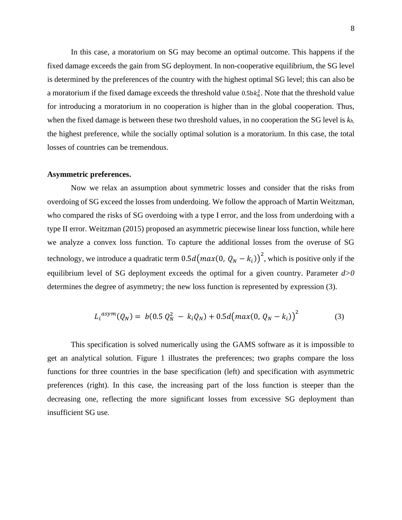In this case, a moratorium on SG may become an optimal outcome. This happens if the fixed damage exceeds the gain from SG deployment. In non-cooperative equilibrium, the SG level is determined by the preferences of the country with the highest optimal SG level; this can also be a moratorium if the fixed damage exceeds the threshold value  $0.5b\kappa_h^2$ . Note that the threshold value for introducing a moratorium in no cooperation is higher than in the global cooperation. Thus, when the fixed damage is between these two threshold values, in no cooperation the SG level is *kh*, the highest preference, while the socially optimal solution is a moratorium. In this case, the total losses of countries can be tremendous.

#### **Asymmetric preferences.**

Now we relax an assumption about symmetric losses and consider that the risks from overdoing of SG exceed the losses from underdoing. We follow the approach of Martin Weitzman, who compared the risks of SG overdoing with a type I error, and the loss from underdoing with a type II error. Weitzman (2015) proposed an asymmetric piecewise linear loss function, while here we analyze a convex loss function. To capture the additional losses from the overuse of SG technology, we introduce a quadratic term  $0.5d \bigl(max(0, Q_N - k_i)\bigr)^2$ , which is positive only if the equilibrium level of SG deployment exceeds the optimal for a given country. Parameter *d>0* determines the degree of asymmetry; the new loss function is represented by expression (3).

$$
L_i^{asym}(Q_N) = b(0.5 \tQ_N^2 - k_i Q_N) + 0.5d \big( max(0, \tQ_N - k_i) \big)^2 \tag{3}
$$

This specification is solved numerically using the GAMS software as it is impossible to get an analytical solution. Figure 1 illustrates the preferences; two graphs compare the loss functions for three countries in the base specification (left) and specification with asymmetric preferences (right). In this case, the increasing part of the loss function is steeper than the decreasing one, reflecting the more significant losses from excessive SG deployment than insufficient SG use.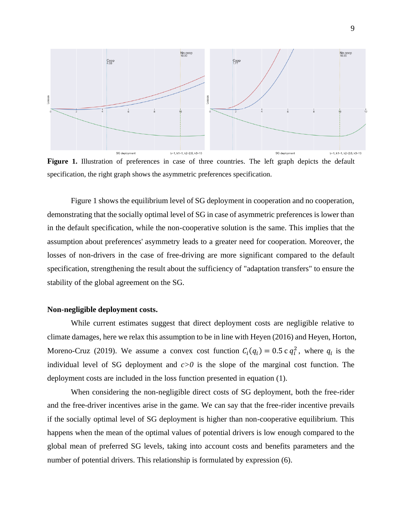

specification, the right graph shows the asymmetric preferences specification.

Figure 1 shows the equilibrium level of SG deployment in cooperation and no cooperation, demonstrating that the socially optimal level of SG in case of asymmetric preferences is lower than in the default specification, while the non-cooperative solution is the same. This implies that the assumption about preferences' asymmetry leads to a greater need for cooperation. Moreover, the losses of non-drivers in the case of free-driving are more significant compared to the default specification, strengthening the result about the sufficiency of "adaptation transfers" to ensure the stability of the global agreement on the SG.

#### **Non-negligible deployment costs.**

While current estimates suggest that direct deployment costs are negligible relative to climate damages, here we relax this assumption to be in line with Heyen (2016) and Heyen, Horton, Moreno-Cruz (2019). We assume a convex cost function  $C_i(q_i) = 0.5 \text{ c } q_i^2$ , where  $q_i$  is the individual level of SG deployment and  $c > 0$  is the slope of the marginal cost function. The deployment costs are included in the loss function presented in equation (1).

When considering the non-negligible direct costs of SG deployment, both the free-rider and the free-driver incentives arise in the game. We can say that the free-rider incentive prevails if the socially optimal level of SG deployment is higher than non-cooperative equilibrium. This happens when the mean of the optimal values of potential drivers is low enough compared to the global mean of preferred SG levels, taking into account costs and benefits parameters and the number of potential drivers. This relationship is formulated by expression (6).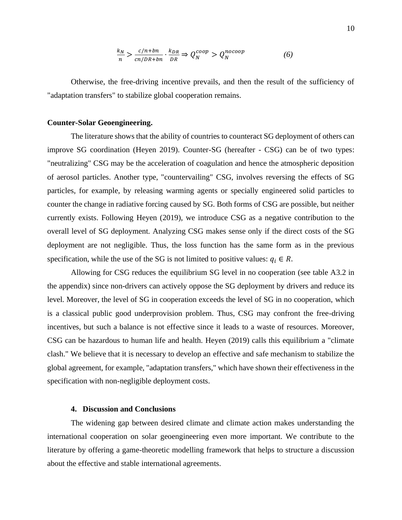$$
\frac{k_N}{n} > \frac{c/n + bn}{cn/DR + bn} \cdot \frac{k_{DR}}{DR} \Rightarrow Q_N^{coop} > Q_N^{nocoop} \tag{6}
$$

Otherwise, the free-driving incentive prevails, and then the result of the sufficiency of "adaptation transfers" to stabilize global cooperation remains.

#### **Counter-Solar Geoengineering.**

The literature shows that the ability of countries to counteract SG deployment of others can improve SG coordination (Heyen 2019). Counter-SG (hereafter - CSG) can be of two types: "neutralizing" CSG may be the acceleration of coagulation and hence the atmospheric deposition of aerosol particles. Another type, "countervailing" CSG, involves reversing the effects of SG particles, for example, by releasing warming agents or specially engineered solid particles to counter the change in radiative forcing caused by SG. Both forms of CSG are possible, but neither currently exists. Following Heyen (2019), we introduce CSG as a negative contribution to the overall level of SG deployment. Analyzing CSG makes sense only if the direct costs of the SG deployment are not negligible. Thus, the loss function has the same form as in the previous specification, while the use of the SG is not limited to positive values:  $q_i \in R$ .

Allowing for CSG reduces the equilibrium SG level in no cooperation (see table A3.2 in the appendix) since non-drivers can actively oppose the SG deployment by drivers and reduce its level. Moreover, the level of SG in cooperation exceeds the level of SG in no cooperation, which is a classical public good underprovision problem. Thus, CSG may confront the free-driving incentives, but such a balance is not effective since it leads to a waste of resources. Moreover, CSG can be hazardous to human life and health. Heyen (2019) calls this equilibrium a "climate clash." We believe that it is necessary to develop an effective and safe mechanism to stabilize the global agreement, for example, "adaptation transfers," which have shown their effectiveness in the specification with non-negligible deployment costs.

#### **4. Discussion and Conclusions**

The widening gap between desired climate and climate action makes understanding the international cooperation on solar geoengineering even more important. We contribute to the literature by offering a game-theoretic modelling framework that helps to structure a discussion about the effective and stable international agreements.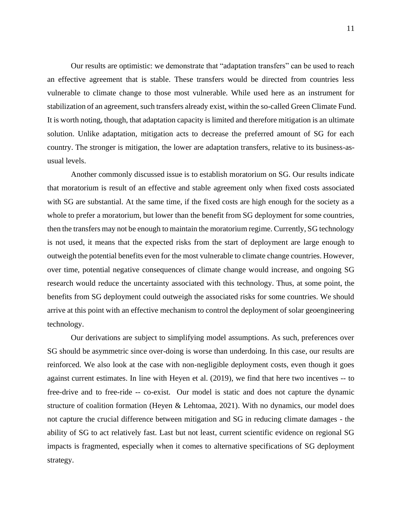Our results are optimistic: we demonstrate that "adaptation transfers" can be used to reach an effective agreement that is stable. These transfers would be directed from countries less vulnerable to climate change to those most vulnerable. While used here as an instrument for stabilization of an agreement, such transfers already exist, within the so-called Green Climate Fund. It is worth noting, though, that adaptation capacity is limited and therefore mitigation is an ultimate solution. Unlike adaptation, mitigation acts to decrease the preferred amount of SG for each country. The stronger is mitigation, the lower are adaptation transfers, relative to its business-asusual levels.

Another commonly discussed issue is to establish moratorium on SG. Our results indicate that moratorium is result of an effective and stable agreement only when fixed costs associated with SG are substantial. At the same time, if the fixed costs are high enough for the society as a whole to prefer a moratorium, but lower than the benefit from SG deployment for some countries, then the transfers may not be enough to maintain the moratorium regime. Currently, SG technology is not used, it means that the expected risks from the start of deployment are large enough to outweigh the potential benefits even for the most vulnerable to climate change countries. However, over time, potential negative consequences of climate change would increase, and ongoing SG research would reduce the uncertainty associated with this technology. Thus, at some point, the benefits from SG deployment could outweigh the associated risks for some countries. We should arrive at this point with an effective mechanism to control the deployment of solar geoengineering technology.

Our derivations are subject to simplifying model assumptions. As such, preferences over SG should be asymmetric since over-doing is worse than underdoing. In this case, our results are reinforced. We also look at the case with non-negligible deployment costs, even though it goes against current estimates. In line with Heyen et al. (2019), we find that here two incentives -- to free-drive and to free-ride -- co-exist. Our model is static and does not capture the dynamic structure of coalition formation (Heyen & Lehtomaa, 2021). With no dynamics, our model does not capture the crucial difference between mitigation and SG in reducing climate damages - the ability of SG to act relatively fast. Last but not least, current scientific evidence on regional SG impacts is fragmented, especially when it comes to alternative specifications of SG deployment strategy.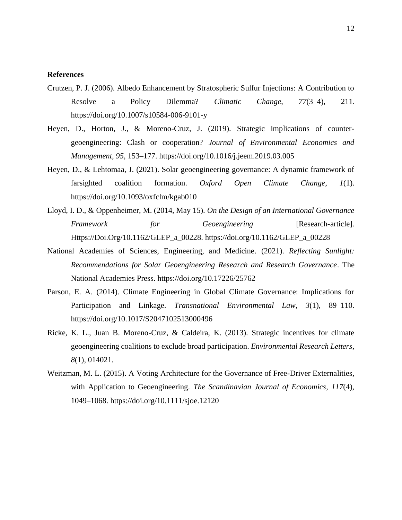#### **References**

- Crutzen, P. J. (2006). Albedo Enhancement by Stratospheric Sulfur Injections: A Contribution to Resolve a Policy Dilemma? *Climatic Change*, *77*(3–4), 211. https://doi.org/10.1007/s10584-006-9101-y
- Heyen, D., Horton, J., & Moreno-Cruz, J. (2019). Strategic implications of countergeoengineering: Clash or cooperation? *Journal of Environmental Economics and Management*, *95*, 153–177. https://doi.org/10.1016/j.jeem.2019.03.005
- Heyen, D., & Lehtomaa, J. (2021). Solar geoengineering governance: A dynamic framework of farsighted coalition formation. *Oxford Open Climate Change*, *1*(1). https://doi.org/10.1093/oxfclm/kgab010
- Lloyd, I. D., & Oppenheimer, M. (2014, May 15). *On the Design of an International Governance*  Framework for Geoengineering [Research-article]. Https://Doi.Org/10.1162/GLEP\_a\_00228. https://doi.org/10.1162/GLEP\_a\_00228
- National Academies of Sciences, Engineering, and Medicine. (2021). *Reflecting Sunlight: Recommendations for Solar Geoengineering Research and Research Governance*. The National Academies Press. https://doi.org/10.17226/25762
- Parson, E. A. (2014). Climate Engineering in Global Climate Governance: Implications for Participation and Linkage. *Transnational Environmental Law*, *3*(1), 89–110. https://doi.org/10.1017/S2047102513000496
- Ricke, K. L., Juan B. Moreno-Cruz, & Caldeira, K. (2013). Strategic incentives for climate geoengineering coalitions to exclude broad participation. *Environmental Research Letters*, *8*(1), 014021.
- Weitzman, M. L. (2015). A Voting Architecture for the Governance of Free-Driver Externalities, with Application to Geoengineering. *The Scandinavian Journal of Economics*, *117*(4), 1049–1068. https://doi.org/10.1111/sjoe.12120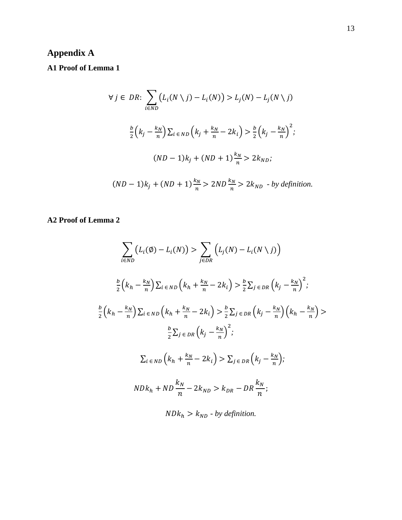# **Appendix A**

# **A1 Proof of Lemma 1**

$$
\forall j \in DR: \sum_{i \in ND} \left( L_i(N \setminus j) - L_i(N) \right) > L_j(N) - L_j(N \setminus j)
$$
\n
$$
\frac{b}{2} \left( k_j - \frac{k_N}{n} \right) \sum_{i \in ND} \left( k_j + \frac{k_N}{n} - 2k_i \right) > \frac{b}{2} \left( k_j - \frac{k_N}{n} \right)^2;
$$
\n
$$
(ND - 1)k_j + (ND + 1) \frac{k_N}{n} > 2k_{ND};
$$
\n
$$
(ND - 1)k_j + (ND + 1) \frac{k_N}{n} > 2ND \frac{k_N}{n} > 2k_{ND} - by definition.
$$

### **A2 Proof of Lemma 2**

$$
\sum_{i \in ND} (L_i(\emptyset) - L_i(N)) > \sum_{j \in DR} \left( L_j(N) - L_i(N \setminus j) \right)
$$
\n
$$
\frac{b}{2} \left( k_h - \frac{k_N}{n} \right) \sum_{i \in ND} \left( k_h + \frac{k_N}{n} - 2k_i \right) > \frac{b}{2} \sum_{j \in DR} \left( k_j - \frac{k_N}{n} \right)^2;
$$
\n
$$
\frac{b}{2} \left( k_h - \frac{k_N}{n} \right) \sum_{i \in ND} \left( k_h + \frac{k_N}{n} - 2k_i \right) > \frac{b}{2} \sum_{j \in DR} \left( k_j - \frac{k_N}{n} \right) \left( k_h - \frac{k_N}{n} \right) > \frac{b}{2} \sum_{j \in DR} \left( k_j - \frac{k_N}{n} \right)^2;
$$
\n
$$
\sum_{i \in ND} \left( k_h + \frac{k_N}{n} - 2k_i \right) > \sum_{j \in DR} \left( k_j - \frac{k_N}{n} \right);
$$
\n
$$
NDk_h + ND \frac{k_N}{n} - 2k_{ND} > k_{DR} - DR \frac{k_N}{n};
$$
\n
$$
NDk_h > k_{ND} - by definition.
$$